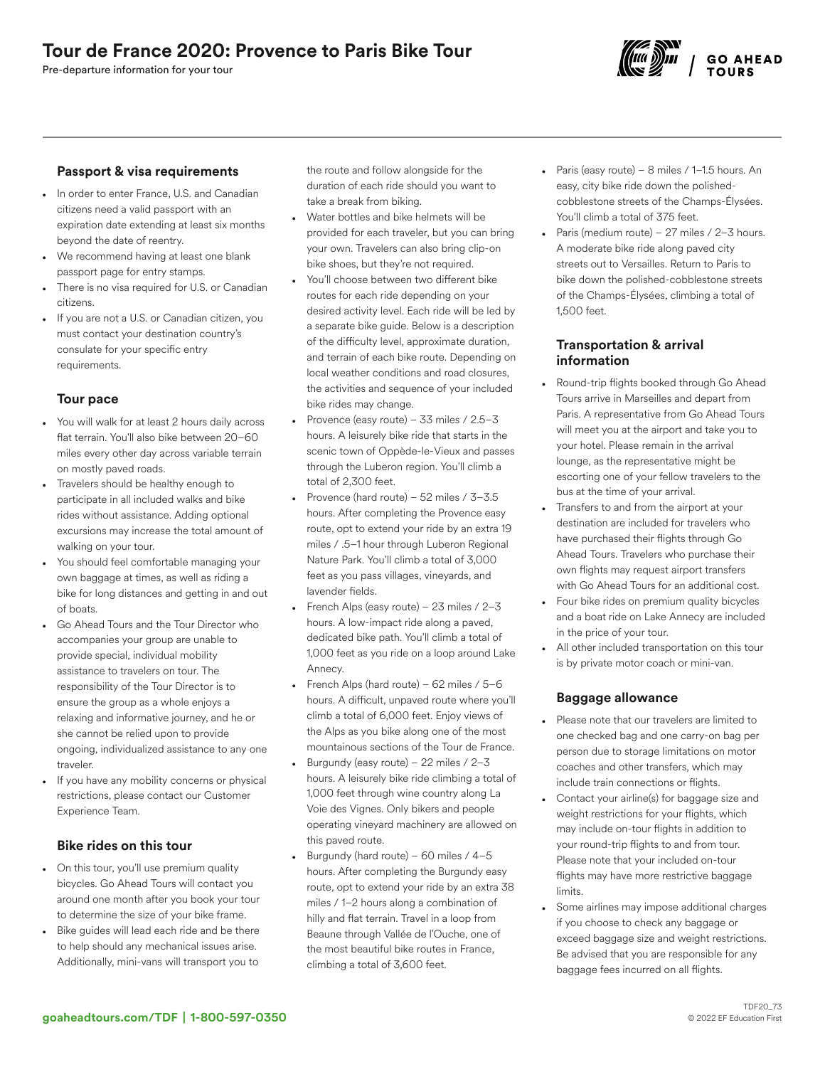Pre-departure information for your tour



### Passport & visa requirements

- In order to enter France, U.S. and Canadian citizens need a valid passport with an expiration date extending at least six months beyond the date of reentry.
- We recommend having at least one blank passport page for entry stamps.
- There is no visa required for U.S. or Canadian citizens.
- If you are not a U.S. or Canadian citizen, you must contact your destination country's consulate for your specific entry requirements.

## Tour pace

- You will walk for at least 2 hours daily across flat terrain. You'll also bike between 20–60 miles every other day across variable terrain on mostly paved roads.
- Travelers should be healthy enough to participate in all included walks and bike rides without assistance. Adding optional excursions may increase the total amount of walking on your tour.
- You should feel comfortable managing your own baggage at times, as well as riding a bike for long distances and getting in and out of boats.
- Go Ahead Tours and the Tour Director who accompanies your group are unable to provide special, individual mobility assistance to travelers on tour. The responsibility of the Tour Director is to ensure the group as a whole enjoys a relaxing and informative journey, and he or she cannot be relied upon to provide ongoing, individualized assistance to any one traveler.
- If you have any mobility concerns or physical restrictions, please contact our Customer Experience Team.

### Bike rides on this tour

- On this tour, you'll use premium quality bicycles. Go Ahead Tours will contact you around one month after you book your tour to determine the size of your bike frame.
- Bike guides will lead each ride and be there to help should any mechanical issues arise. Additionally, mini-vans will transport you to

the route and follow alongside for the duration of each ride should you want to take a break from biking.

- Water bottles and bike helmets will be provided for each traveler, but you can bring your own. Travelers can also bring clip-on bike shoes, but they're not required.
- You'll choose between two different bike routes for each ride depending on your desired activity level. Each ride will be led by a separate bike guide. Below is a description of the difficulty level, approximate duration, and terrain of each bike route. Depending on local weather conditions and road closures, the activities and sequence of your included bike rides may change.
- Provence (easy route) 33 miles /  $2.5 3$ hours. A leisurely bike ride that starts in the scenic town of Oppède-le-Vieux and passes through the Luberon region. You'll climb a total of 2,300 feet.
- Provence (hard route) 52 miles / 3–3.5 hours. After completing the Provence easy route, opt to extend your ride by an extra 19 miles / .5–1 hour through Luberon Regional Nature Park. You'll climb a total of 3,000 feet as you pass villages, vineyards, and lavender fields.
- French Alps (easy route)  $23$  miles /  $2-3$ hours. A low-impact ride along a paved, dedicated bike path. You'll climb a total of 1,000 feet as you ride on a loop around Lake Annecy.
- French Alps (hard route) 62 miles / 5–6 hours. A difficult, unpaved route where you'll climb a total of 6,000 feet. Enjoy views of the Alps as you bike along one of the most mountainous sections of the Tour de France.
- Burgundy (easy route) 22 miles  $/2-3$ hours. A leisurely bike ride climbing a total of 1,000 feet through wine country along La Voie des Vignes. Only bikers and people operating vineyard machinery are allowed on this paved route.
- Burgundy (hard route) 60 miles / 4–5 hours. After completing the Burgundy easy route, opt to extend your ride by an extra 38 miles / 1–2 hours along a combination of hilly and flat terrain. Travel in a loop from Beaune through Vallée de l'Ouche, one of the most beautiful bike routes in France, climbing a total of 3,600 feet.
- Paris (easy route) 8 miles / 1–1.5 hours. An easy, city bike ride down the polishedcobblestone streets of the Champs-Élysées. You'll climb a total of 375 feet.
- Paris (medium route) 27 miles / 2–3 hours. A moderate bike ride along paved city streets out to Versailles. Return to Paris to bike down the polished-cobblestone streets of the Champs-Élysées, climbing a total of 1,500 feet.

### Transportation & arrival information

- Round-trip flights booked through Go Ahead Tours arrive in Marseilles and depart from Paris. A representative from Go Ahead Tours will meet you at the airport and take you to your hotel. Please remain in the arrival lounge, as the representative might be escorting one of your fellow travelers to the bus at the time of your arrival.
- Transfers to and from the airport at your destination are included for travelers who have purchased their flights through Go Ahead Tours. Travelers who purchase their own flights may request airport transfers with Go Ahead Tours for an additional cost.
- Four bike rides on premium quality bicycles and a boat ride on Lake Annecy are included in the price of your tour.
- All other included transportation on this tour is by private motor coach or mini-van.

## Baggage allowance

- Please note that our travelers are limited to one checked bag and one carry-on bag per person due to storage limitations on motor coaches and other transfers, which may include train connections or flights.
- Contact your airline(s) for baggage size and weight restrictions for your flights, which may include on-tour flights in addition to your round-trip flights to and from tour. Please note that your included on-tour flights may have more restrictive baggage limits.
- Some airlines may impose additional charges if you choose to check any baggage or exceed baggage size and weight restrictions. Be advised that you are responsible for any baggage fees incurred on all flights.